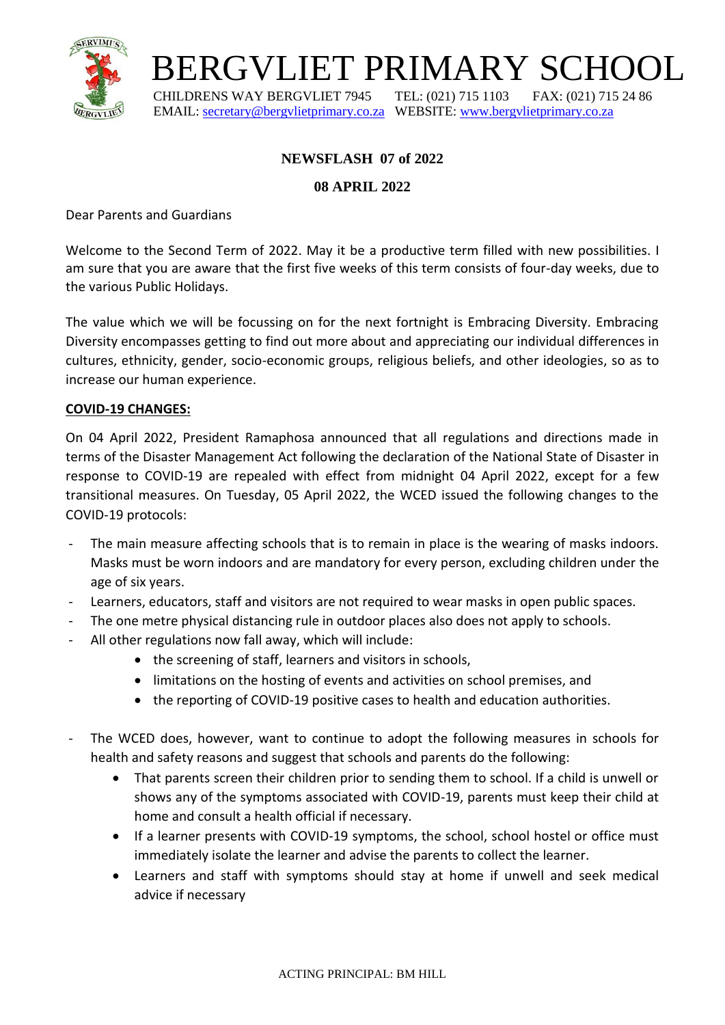

## BERGVLIET PRIMARY SCHOOL

 CHILDRENS WAY BERGVLIET 7945 TEL: (021) 715 1103 FAX: (021) 715 24 86 EMAIL: [secretary@bergvlietprimary.co.za](mailto:secretary@bergvlietprimary.co.za) WEBSITE[: www.bergvlietprimary.co.za](http://www.bergvlietprimary.co.za/)

### **NEWSFLASH 07 of 2022**

### **08 APRIL 2022**

Dear Parents and Guardians

Welcome to the Second Term of 2022. May it be a productive term filled with new possibilities. I am sure that you are aware that the first five weeks of this term consists of four-day weeks, due to the various Public Holidays.

The value which we will be focussing on for the next fortnight is Embracing Diversity. Embracing Diversity encompasses getting to find out more about and appreciating our individual differences in cultures, ethnicity, gender, socio-economic groups, religious beliefs, and other ideologies, so as to increase our human experience.

### **COVID-19 CHANGES:**

On 04 April 2022, President Ramaphosa announced that all regulations and directions made in terms of the Disaster Management Act following the declaration of the National State of Disaster in response to COVID-19 are repealed with effect from midnight 04 April 2022, except for a few transitional measures. On Tuesday, 05 April 2022, the WCED issued the following changes to the COVID-19 protocols:

- The main measure affecting schools that is to remain in place is the wearing of masks indoors. Masks must be worn indoors and are mandatory for every person, excluding children under the age of six years.
- Learners, educators, staff and visitors are not required to wear masks in open public spaces.
- The one metre physical distancing rule in outdoor places also does not apply to schools.
- All other regulations now fall away, which will include:
	- the screening of staff, learners and visitors in schools,
	- limitations on the hosting of events and activities on school premises, and
	- the reporting of COVID-19 positive cases to health and education authorities.
- The WCED does, however, want to continue to adopt the following measures in schools for health and safety reasons and suggest that schools and parents do the following:
	- That parents screen their children prior to sending them to school. If a child is unwell or shows any of the symptoms associated with COVID-19, parents must keep their child at home and consult a health official if necessary.
	- If a learner presents with COVID-19 symptoms, the school, school hostel or office must immediately isolate the learner and advise the parents to collect the learner.
	- Learners and staff with symptoms should stay at home if unwell and seek medical advice if necessary